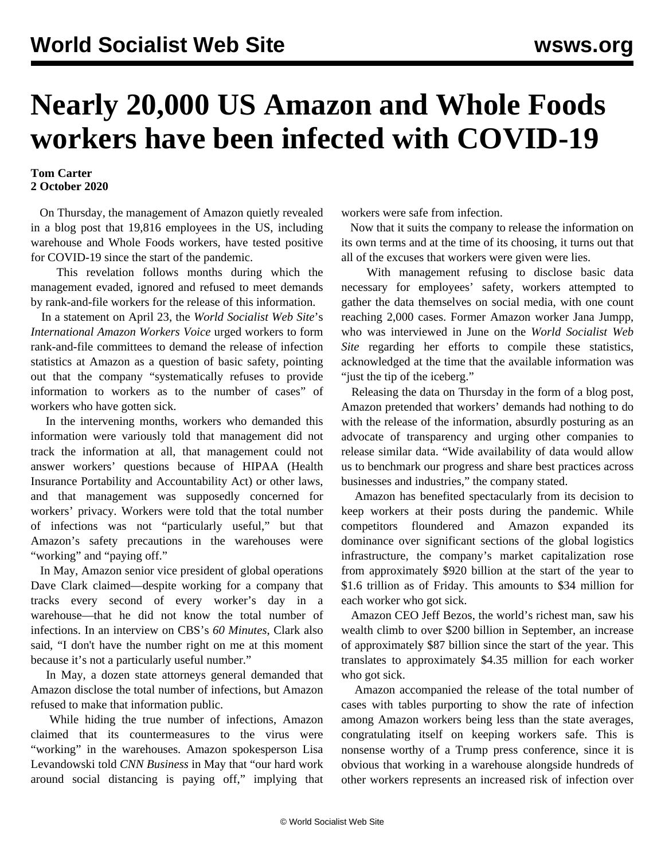## **Nearly 20,000 US Amazon and Whole Foods workers have been infected with COVID-19**

## **Tom Carter 2 October 2020**

 On Thursday, the management of Amazon quietly revealed in a blog post that 19,816 employees in the US, including warehouse and Whole Foods workers, have tested positive for COVID-19 since the start of the pandemic.

 This revelation follows months during which the management evaded, ignored and refused to meet demands by rank-and-file workers for the release of this information.

 In a statement on April 23, the *World Socialist Web Site*'s *International Amazon Workers Voice* urged workers to form rank-and-file committees to [demand](/en/articles/2020/04/22/amzn-a22.html) the release of infection statistics at Amazon as a question of basic safety, pointing out that the company "systematically refuses to provide information to workers as to the number of cases" of workers who have gotten sick.

 In the intervening months, workers who demanded this information were variously told that management did not track the information at all, that management could not answer workers' questions because of HIPAA (Health Insurance Portability and Accountability Act) or other laws, and that management was supposedly concerned for workers' privacy. Workers were told that the total number of infections was not "particularly useful," but that Amazon's safety precautions in the warehouses were "working" and "paying off."

 In May, Amazon senior vice president of global operations Dave Clark claimed—despite working for a company that tracks every second of every worker's day in a warehouse—that he did not know the total number of infections. In an interview on CBS's *60 Minutes*, Clark also said, "I don't have the number right on me at this moment because it's not a particularly useful number."

 In May, a dozen state attorneys general demanded that Amazon disclose the total number of infections, but Amazon refused to make that information public.

 While hiding the true number of infections, Amazon claimed that its countermeasures to the virus were "working" in the warehouses. Amazon spokesperson Lisa Levandowski told *CNN Business* in May that "our hard work around social distancing is paying off," implying that workers were safe from infection.

 Now that it suits the company to release the information on its own terms and at the time of its choosing, it turns out that all of the excuses that workers were given were lies.

 With management refusing to disclose basic data necessary for employees' safety, workers attempted to gather the data themselves on social media, with one count reaching 2,000 cases. Former Amazon worker Jana Jumpp, who was [interviewed](/en/articles/2020/06/22/amaz-j22.html) in June on the *World Socialist Web Site* regarding her efforts to compile these statistics, acknowledged at the time that the available information was "just the tip of the iceberg."

 Releasing the data on Thursday in the form of a blog post, Amazon pretended that workers' demands had nothing to do with the release of the information, absurdly posturing as an advocate of transparency and urging other companies to release similar data. "Wide availability of data would allow us to benchmark our progress and share best practices across businesses and industries," the company stated.

 Amazon has benefited spectacularly from its decision to keep workers at their posts during the pandemic. While competitors floundered and Amazon expanded its dominance over significant sections of the global logistics infrastructure, the company's market capitalization rose from approximately \$920 billion at the start of the year to \$1.6 trillion as of Friday. This amounts to \$34 million for each worker who got sick.

 Amazon CEO Jeff Bezos, the world's richest man, saw his wealth climb to over [\\$200 billion](/en/articles/2020/09/09/amaz-s09.html) in September, an increase of approximately \$87 billion since the start of the year. This translates to approximately \$4.35 million for each worker who got sick.

 Amazon accompanied the release of the total number of cases with tables purporting to show the rate of infection among Amazon workers being less than the state averages, congratulating itself on keeping workers safe. This is nonsense worthy of a Trump press conference, since it is obvious that working in a warehouse alongside hundreds of other workers represents an increased risk of infection over